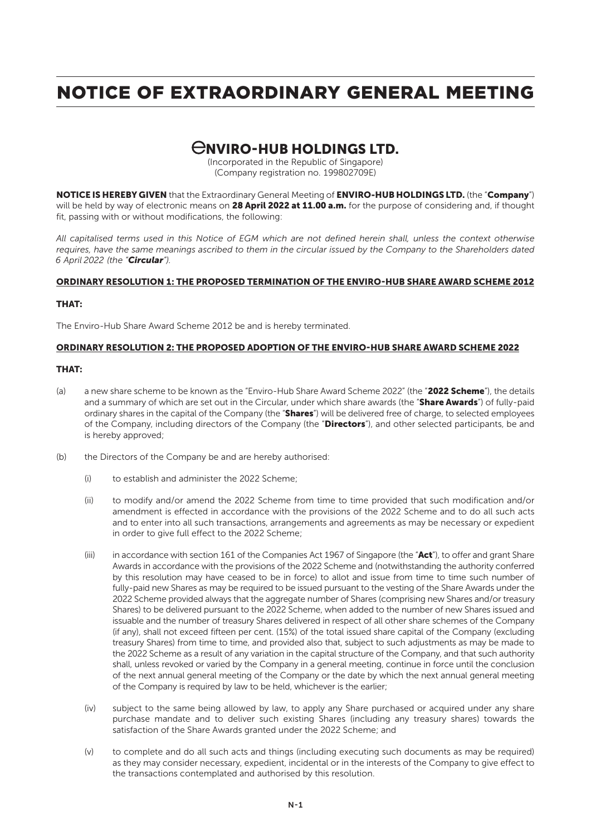## CNVIRO-HUB HOLDINGS LTD.

(Incorporated in the Republic of Singapore) (Company registration no. 199802709E)

NOTICE IS HEREBY GIVEN that the Extraordinary General Meeting of ENVIRO-HUB HOLDINGS LTD. (the "Company") will be held by way of electronic means on 28 April 2022 at 11.00 a.m. for the purpose of considering and, if thought fit, passing with or without modifications, the following:

*All capitalised terms used in this Notice of EGM which are not defined herein shall, unless the context otherwise requires, have the same meanings ascribed to them in the circular issued by the Company to the Shareholders dated 6 April 2022 (the "Circular").*

### ORDINARY RESOLUTION 1: THE PROPOSED TERMINATION OF THE ENVIRO-HUB SHARE AWARD SCHEME 2012

### THAT:

The Enviro-Hub Share Award Scheme 2012 be and is hereby terminated.

### ORDINARY RESOLUTION 2: THE PROPOSED ADOPTION OF THE ENVIRO-HUB SHARE AWARD SCHEME 2022

### THAT:

- (a) a new share scheme to be known as the "Enviro-Hub Share Award Scheme 2022" (the "2022 Scheme"), the details and a summary of which are set out in the Circular, under which share awards (the "Share Awards") of fully-paid ordinary shares in the capital of the Company (the "Shares") will be delivered free of charge, to selected employees of the Company, including directors of the Company (the "Directors"), and other selected participants, be and is hereby approved;
- (b) the Directors of the Company be and are hereby authorised:
	- (i) to establish and administer the 2022 Scheme;
	- (ii) to modify and/or amend the 2022 Scheme from time to time provided that such modification and/or amendment is effected in accordance with the provisions of the 2022 Scheme and to do all such acts and to enter into all such transactions, arrangements and agreements as may be necessary or expedient in order to give full effect to the 2022 Scheme;
	- (iii) in accordance with section 161 of the Companies Act 1967 of Singapore (the " $Act"$ ), to offer and grant Share Awards in accordance with the provisions of the 2022 Scheme and (notwithstanding the authority conferred by this resolution may have ceased to be in force) to allot and issue from time to time such number of fully-paid new Shares as may be required to be issued pursuant to the vesting of the Share Awards under the 2022 Scheme provided always that the aggregate number of Shares (comprising new Shares and/or treasury Shares) to be delivered pursuant to the 2022 Scheme, when added to the number of new Shares issued and issuable and the number of treasury Shares delivered in respect of all other share schemes of the Company (if any), shall not exceed fifteen per cent. (15%) of the total issued share capital of the Company (excluding treasury Shares) from time to time, and provided also that, subject to such adjustments as may be made to the 2022 Scheme as a result of any variation in the capital structure of the Company, and that such authority shall, unless revoked or varied by the Company in a general meeting, continue in force until the conclusion of the next annual general meeting of the Company or the date by which the next annual general meeting of the Company is required by law to be held, whichever is the earlier;
	- (iv) subject to the same being allowed by law, to apply any Share purchased or acquired under any share purchase mandate and to deliver such existing Shares (including any treasury shares) towards the satisfaction of the Share Awards granted under the 2022 Scheme; and
	- (v) to complete and do all such acts and things (including executing such documents as may be required) as they may consider necessary, expedient, incidental or in the interests of the Company to give effect to the transactions contemplated and authorised by this resolution.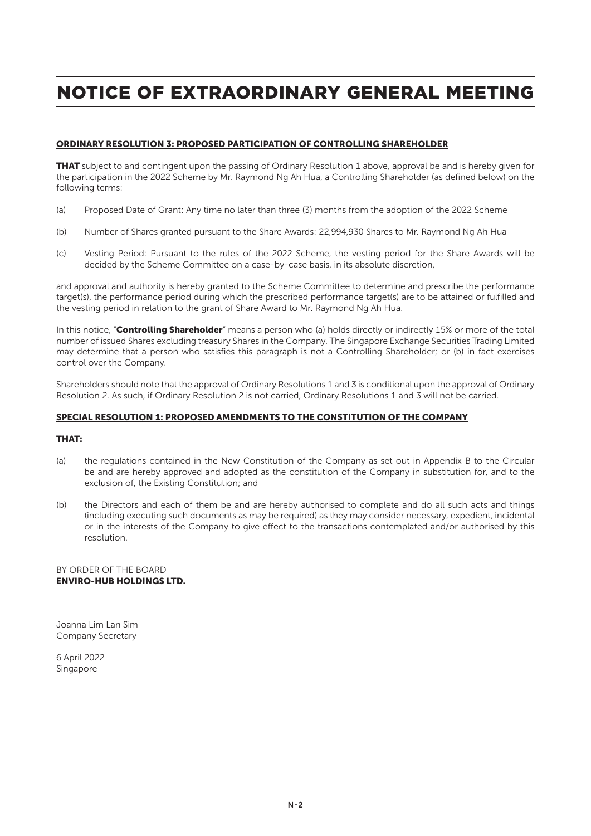### ORDINARY RESOLUTION 3: PROPOSED PARTICIPATION OF CONTROLLING SHAREHOLDER

**THAT** subject to and contingent upon the passing of Ordinary Resolution 1 above, approval be and is hereby given for the participation in the 2022 Scheme by Mr. Raymond Ng Ah Hua, a Controlling Shareholder (as defined below) on the following terms:

- (a) Proposed Date of Grant: Any time no later than three (3) months from the adoption of the 2022 Scheme
- (b) Number of Shares granted pursuant to the Share Awards: 22,994,930 Shares to Mr. Raymond Ng Ah Hua
- (c) Vesting Period: Pursuant to the rules of the 2022 Scheme, the vesting period for the Share Awards will be decided by the Scheme Committee on a case-by-case basis, in its absolute discretion,

and approval and authority is hereby granted to the Scheme Committee to determine and prescribe the performance target(s), the performance period during which the prescribed performance target(s) are to be attained or fulfilled and the vesting period in relation to the grant of Share Award to Mr. Raymond Ng Ah Hua.

In this notice, "Controlling Shareholder" means a person who (a) holds directly or indirectly 15% or more of the total number of issued Shares excluding treasury Shares in the Company. The Singapore Exchange Securities Trading Limited may determine that a person who satisfies this paragraph is not a Controlling Shareholder; or (b) in fact exercises control over the Company.

Shareholders should note that the approval of Ordinary Resolutions 1 and 3 is conditional upon the approval of Ordinary Resolution 2. As such, if Ordinary Resolution 2 is not carried, Ordinary Resolutions 1 and 3 will not be carried.

### SPECIAL RESOLUTION 1: PROPOSED AMENDMENTS TO THE CONSTITUTION OF THE COMPANY

### THAT:

- (a) the regulations contained in the New Constitution of the Company as set out in Appendix B to the Circular be and are hereby approved and adopted as the constitution of the Company in substitution for, and to the exclusion of, the Existing Constitution; and
- (b) the Directors and each of them be and are hereby authorised to complete and do all such acts and things (including executing such documents as may be required) as they may consider necessary, expedient, incidental or in the interests of the Company to give effect to the transactions contemplated and/or authorised by this resolution.

BY ORDER OF THE BOARD ENVIRO-HUB HOLDINGS LTD.

Joanna Lim Lan Sim Company Secretary

6 April 2022 Singapore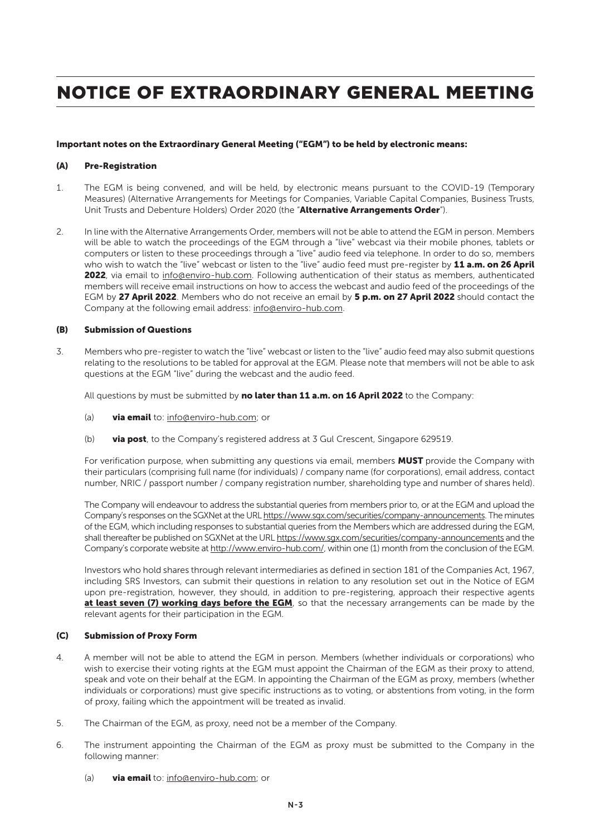#### Important notes on the Extraordinary General Meeting ("EGM") to be held by electronic means:

#### (A) Pre-Registration

- 1. The EGM is being convened, and will be held, by electronic means pursuant to the COVID-19 (Temporary Measures) (Alternative Arrangements for Meetings for Companies, Variable Capital Companies, Business Trusts, Unit Trusts and Debenture Holders) Order 2020 (the "Alternative Arrangements Order").
- 2. In line with the Alternative Arrangements Order, members will not be able to attend the EGM in person. Members will be able to watch the proceedings of the EGM through a "live" webcast via their mobile phones, tablets or computers or listen to these proceedings through a "live" audio feed via telephone. In order to do so, members who wish to watch the "live" webcast or listen to the "live" audio feed must pre-register by 11 a.m. on 26 April 2022, via email to info@enviro-hub.com. Following authentication of their status as members, authenticated members will receive email instructions on how to access the webcast and audio feed of the proceedings of the EGM by 27 April 2022. Members who do not receive an email by 5 p.m. on 27 April 2022 should contact the Company at the following email address: info@enviro-hub.com.

#### (B) Submission of Questions

3. Members who pre-register to watch the "live" webcast or listen to the "live" audio feed may also submit questions relating to the resolutions to be tabled for approval at the EGM. Please note that members will not be able to ask questions at the EGM "live" during the webcast and the audio feed.

All questions by must be submitted by no later than 11 a.m. on 16 April 2022 to the Company:

- (a) via email to: info@enviro-hub.com; or
- (b) via post, to the Company's registered address at  $3$  Gul Crescent, Singapore 629519.

For verification purpose, when submitting any questions via email, members MUST provide the Company with their particulars (comprising full name (for individuals) / company name (for corporations), email address, contact number, NRIC / passport number / company registration number, shareholding type and number of shares held).

The Company will endeavour to address the substantial queries from members prior to, or at the EGM and upload the Company's responses on the SGXNet at the URL https://www.sgx.com/securities/company-announcements. The minutes of the EGM, which including responses to substantial queries from the Members which are addressed during the EGM, shall thereafter be published on SGXNet at the URL https://www.sgx.com/securities/company-announcements and the Company's corporate website at http://www.enviro-hub.com/, within one (1) month from the conclusion of the EGM.

Investors who hold shares through relevant intermediaries as defined in section 181 of the Companies Act, 1967, including SRS Investors, can submit their questions in relation to any resolution set out in the Notice of EGM upon pre-registration, however, they should, in addition to pre-registering, approach their respective agents at least seven (7) working days before the EGM, so that the necessary arrangements can be made by the relevant agents for their participation in the EGM.

### (C) Submission of Proxy Form

- 4. A member will not be able to attend the EGM in person. Members (whether individuals or corporations) who wish to exercise their voting rights at the EGM must appoint the Chairman of the EGM as their proxy to attend, speak and vote on their behalf at the EGM. In appointing the Chairman of the EGM as proxy, members (whether individuals or corporations) must give specific instructions as to voting, or abstentions from voting, in the form of proxy, failing which the appointment will be treated as invalid.
- 5. The Chairman of the EGM, as proxy, need not be a member of the Company.
- 6. The instrument appointing the Chairman of the EGM as proxy must be submitted to the Company in the following manner:
	- (a) via email to: info@enviro-hub.com; or